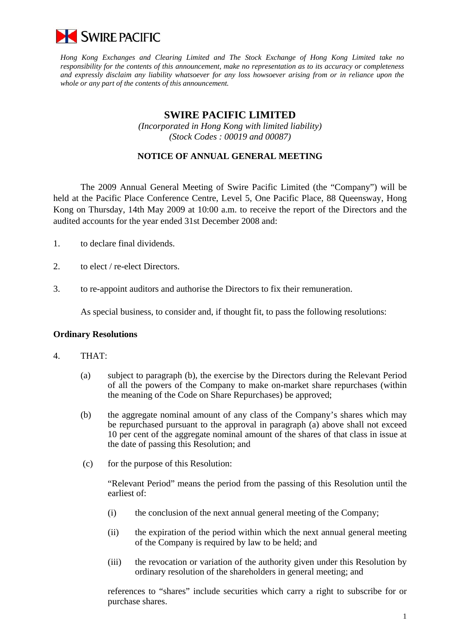

*Hong Kong Exchanges and Clearing Limited and The Stock Exchange of Hong Kong Limited take no responsibility for the contents of this announcement, make no representation as to its accuracy or completeness and expressly disclaim any liability whatsoever for any loss howsoever arising from or in reliance upon the whole or any part of the contents of this announcement.* 

# **SWIRE PACIFIC LIMITED**

*(Incorporated in Hong Kong with limited liability) (Stock Codes : 00019 and 00087)* 

# **NOTICE OF ANNUAL GENERAL MEETING**

 The 2009 Annual General Meeting of Swire Pacific Limited (the "Company") will be held at the Pacific Place Conference Centre, Level 5, One Pacific Place, 88 Queensway, Hong Kong on Thursday, 14th May 2009 at 10:00 a.m. to receive the report of the Directors and the audited accounts for the year ended 31st December 2008 and:

- 1. to declare final dividends.
- 2. to elect / re-elect Directors.
- 3. to re-appoint auditors and authorise the Directors to fix their remuneration.

As special business, to consider and, if thought fit, to pass the following resolutions:

### **Ordinary Resolutions**

#### 4. THAT:

- (a) subject to paragraph (b), the exercise by the Directors during the Relevant Period of all the powers of the Company to make on-market share repurchases (within the meaning of the Code on Share Repurchases) be approved;
- (b) the aggregate nominal amount of any class of the Company's shares which may be repurchased pursuant to the approval in paragraph (a) above shall not exceed 10 per cent of the aggregate nominal amount of the shares of that class in issue at the date of passing this Resolution; and
- (c) for the purpose of this Resolution:

 "Relevant Period" means the period from the passing of this Resolution until the earliest of:

- (i) the conclusion of the next annual general meeting of the Company;
- (ii) the expiration of the period within which the next annual general meeting of the Company is required by law to be held; and
- (iii) the revocation or variation of the authority given under this Resolution by ordinary resolution of the shareholders in general meeting; and

references to "shares" include securities which carry a right to subscribe for or purchase shares.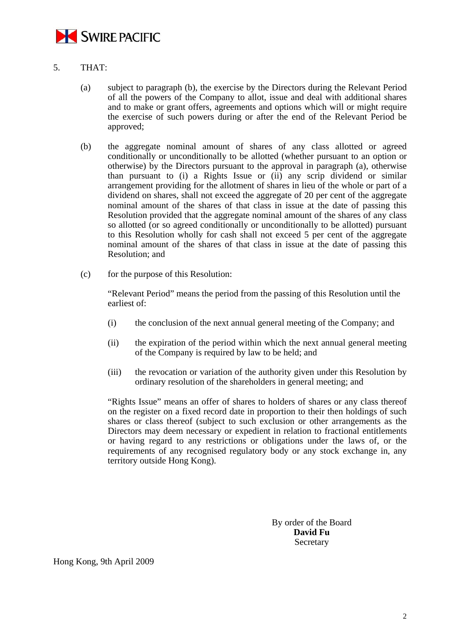

- 5. THAT:
	- (a) subject to paragraph (b), the exercise by the Directors during the Relevant Period of all the powers of the Company to allot, issue and deal with additional shares and to make or grant offers, agreements and options which will or might require the exercise of such powers during or after the end of the Relevant Period be approved;
	- (b) the aggregate nominal amount of shares of any class allotted or agreed conditionally or unconditionally to be allotted (whether pursuant to an option or otherwise) by the Directors pursuant to the approval in paragraph (a), otherwise than pursuant to (i) a Rights Issue or (ii) any scrip dividend or similar arrangement providing for the allotment of shares in lieu of the whole or part of a dividend on shares, shall not exceed the aggregate of 20 per cent of the aggregate nominal amount of the shares of that class in issue at the date of passing this Resolution provided that the aggregate nominal amount of the shares of any class so allotted (or so agreed conditionally or unconditionally to be allotted) pursuant to this Resolution wholly for cash shall not exceed 5 per cent of the aggregate nominal amount of the shares of that class in issue at the date of passing this Resolution; and
	- (c) for the purpose of this Resolution:

"Relevant Period" means the period from the passing of this Resolution until the earliest of:

- (i) the conclusion of the next annual general meeting of the Company; and
- (ii) the expiration of the period within which the next annual general meeting of the Company is required by law to be held; and
- (iii) the revocation or variation of the authority given under this Resolution by ordinary resolution of the shareholders in general meeting; and

 "Rights Issue" means an offer of shares to holders of shares or any class thereof on the register on a fixed record date in proportion to their then holdings of such shares or class thereof (subject to such exclusion or other arrangements as the Directors may deem necessary or expedient in relation to fractional entitlements or having regard to any restrictions or obligations under the laws of, or the requirements of any recognised regulatory body or any stock exchange in, any territory outside Hong Kong).

> By order of the Board **David Fu Secretary**

Hong Kong, 9th April 2009